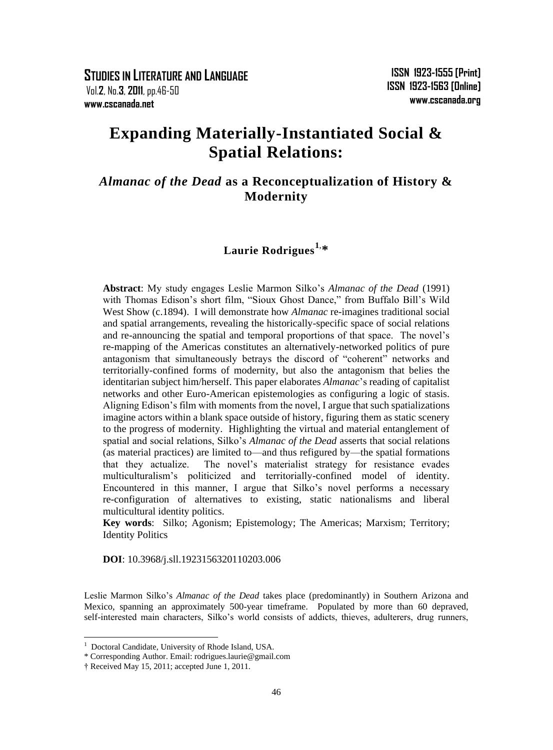**STUDIES IN LITERATURE AND LANGUAGE** Vol.**2**, No.**3**, **2011**, pp.46-50 **www.cscanada.net**

# **Expanding Materially-Instantiated Social & Spatial Relations:**

## *Almanac of the Dead* **as a Reconceptualization of History & Modernity**

# **Laurie Rodrigues1**, **\***

**Abstract**: My study engages Leslie Marmon Silko"s *Almanac of the Dead* (1991) with Thomas Edison's short film, "Sioux Ghost Dance," from Buffalo Bill's Wild West Show (c.1894). I will demonstrate how *Almanac* re-imagines traditional social and spatial arrangements, revealing the historically-specific space of social relations and re-announcing the spatial and temporal proportions of that space. The novel"s re-mapping of the Americas constitutes an alternatively-networked politics of pure antagonism that simultaneously betrays the discord of "coherent" networks and territorially-confined forms of modernity, but also the antagonism that belies the identitarian subject him/herself. This paper elaborates *Almanac*"s reading of capitalist networks and other Euro-American epistemologies as configuring a logic of stasis. Aligning Edison"s film with moments from the novel, I argue that such spatializations imagine actors within a blank space outside of history, figuring them as static scenery to the progress of modernity. Highlighting the virtual and material entanglement of spatial and social relations, Silko"s *Almanac of the Dead* asserts that social relations (as material practices) are limited to—and thus refigured by—the spatial formations that they actualize. The novel"s materialist strategy for resistance evades multiculturalism"s politicized and territorially-confined model of identity. Encountered in this manner, I argue that Silko"s novel performs a necessary re-configuration of alternatives to existing, static nationalisms and liberal multicultural identity politics.

**Key words**: Silko; Agonism; Epistemology; The Americas; Marxism; Territory; Identity Politics

**DOI**: 10.3968/j.sll.1923156320110203.006

Leslie Marmon Silko"s *Almanac of the Dead* takes place (predominantly) in Southern Arizona and Mexico, spanning an approximately 500-year timeframe. Populated by more than 60 depraved, self-interested main characters, Silko"s world consists of addicts, thieves, adulterers, drug runners,

1

<sup>&</sup>lt;sup>1</sup> Doctoral Candidate, University of Rhode Island, USA.

<sup>\*</sup> Corresponding Author. Email: rodrigues.laurie@gmail.com

<sup>†</sup> Received May 15, 2011; accepted June 1, 2011.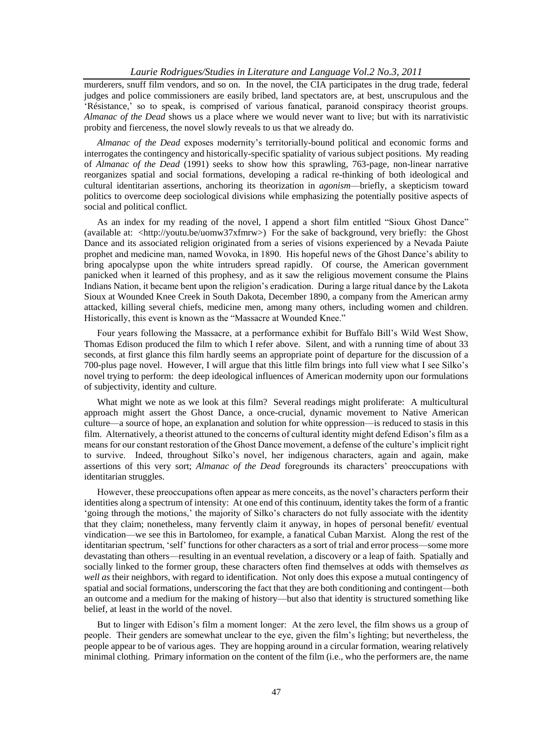#### *Laurie Rodrigues/Studies in Literature and Language Vol.2 No.3, 2011*

murderers, snuff film vendors, and so on. In the novel, the CIA participates in the drug trade, federal judges and police commissioners are easily bribed, land spectators are, at best, unscrupulous and the "Résistance," so to speak, is comprised of various fanatical, paranoid conspiracy theorist groups. *Almanac of the Dead* shows us a place where we would never want to live; but with its narrativistic probity and fierceness, the novel slowly reveals to us that we already do.

*Almanac of the Dead* exposes modernity"s territorially-bound political and economic forms and interrogates the contingency and historically-specific spatiality of various subject positions. My reading of *Almanac of the Dead* (1991) seeks to show how this sprawling, 763-page, non-linear narrative reorganizes spatial and social formations, developing a radical re-thinking of both ideological and cultural identitarian assertions, anchoring its theorization in *agonism*—briefly, a skepticism toward politics to overcome deep sociological divisions while emphasizing the potentially positive aspects of social and political conflict.

As an index for my reading of the novel, I append a short film entitled "Sioux Ghost Dance" (available at: <http://youtu.be/uomw37xfmrw>) For the sake of background, very briefly: the Ghost Dance and its associated religion originated from a series of visions experienced by a Nevada Paiute prophet and medicine man, named Wovoka, in 1890. His hopeful news of the Ghost Dance"s ability to bring apocalypse upon the white intruders spread rapidly. Of course, the American government panicked when it learned of this prophesy, and as it saw the religious movement consume the Plains Indians Nation, it became bent upon the religion"s eradication. During a large ritual dance by the Lakota Sioux at Wounded Knee Creek in South Dakota, December 1890, a company from the American army attacked, killing several chiefs, medicine men, among many others, including women and children. Historically, this event is known as the "Massacre at Wounded Knee."

Four years following the Massacre, at a performance exhibit for Buffalo Bill"s Wild West Show, Thomas Edison produced the film to which I refer above. Silent, and with a running time of about 33 seconds, at first glance this film hardly seems an appropriate point of departure for the discussion of a 700-plus page novel. However, I will argue that this little film brings into full view what I see Silko"s novel trying to perform: the deep ideological influences of American modernity upon our formulations of subjectivity, identity and culture.

What might we note as we look at this film? Several readings might proliferate: A multicultural approach might assert the Ghost Dance, a once-crucial, dynamic movement to Native American culture—a source of hope, an explanation and solution for white oppression—is reduced to stasis in this film. Alternatively, a theorist attuned to the concerns of cultural identity might defend Edison"s film as a means for our constant restoration of the Ghost Dance movement, a defense of the culture"s implicit right to survive. Indeed, throughout Silko"s novel, her indigenous characters, again and again, make assertions of this very sort; *Almanac of the Dead* foregrounds its characters' preoccupations with identitarian struggles.

However, these preoccupations often appear as mere conceits, as the novel"s characters perform their identities along a spectrum of intensity: At one end of this continuum, identity takes the form of a frantic "going through the motions," the majority of Silko"s characters do not fully associate with the identity that they claim; nonetheless, many fervently claim it anyway, in hopes of personal benefit/ eventual vindication—we see this in Bartolomeo, for example, a fanatical Cuban Marxist. Along the rest of the identitarian spectrum, "self" functions for other characters as a sort of trial and error process—some more devastating than others—resulting in an eventual revelation, a discovery or a leap of faith. Spatially and socially linked to the former group, these characters often find themselves at odds with themselves *as well as* their neighbors, with regard to identification. Not only does this expose a mutual contingency of spatial and social formations, underscoring the fact that they are both conditioning and contingent—both an outcome and a medium for the making of history—but also that identity is structured something like belief, at least in the world of the novel.

But to linger with Edison"s film a moment longer: At the zero level, the film shows us a group of people. Their genders are somewhat unclear to the eye, given the film"s lighting; but nevertheless, the people appear to be of various ages. They are hopping around in a circular formation, wearing relatively minimal clothing. Primary information on the content of the film (i.e., who the performers are, the name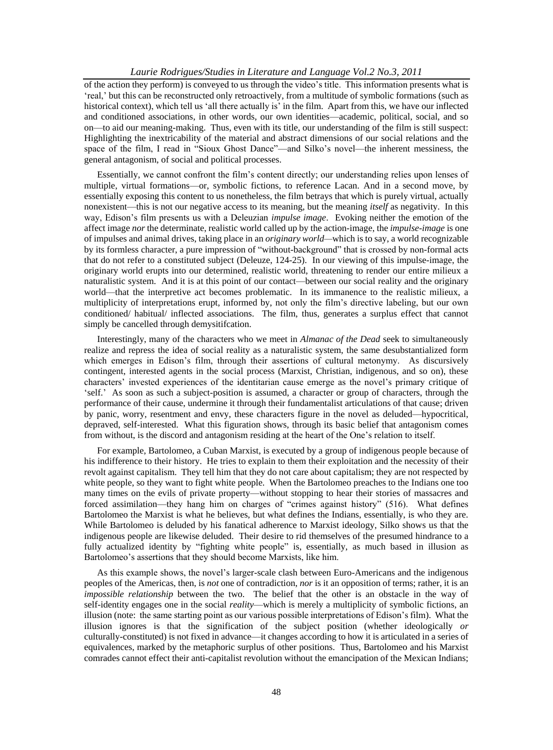of the action they perform) is conveyed to us through the video"s title. This information presents what is "real," but this can be reconstructed only retroactively, from a multitude of symbolic formations (such as historical context), which tell us 'all there actually is' in the film. Apart from this, we have our inflected and conditioned associations, in other words, our own identities—academic, political, social, and so on—to aid our meaning-making. Thus, even with its title, our understanding of the film is still suspect: Highlighting the inextricability of the material and abstract dimensions of our social relations and the space of the film, I read in "Sioux Ghost Dance"—and Silko"s novel—the inherent messiness, the general antagonism, of social and political processes.

Essentially, we cannot confront the film"s content directly; our understanding relies upon lenses of multiple, virtual formations—or, symbolic fictions, to reference Lacan. And in a second move, by essentially exposing this content to us nonetheless, the film betrays that which is purely virtual, actually nonexistent—this is not our negative access to its meaning, but the meaning *itself* as negativity. In this way, Edison"s film presents us with a Deleuzian *impulse image*.Evoking neither the emotion of the affect image *nor* the determinate, realistic world called up by the action-image, the *impulse-image* is one of impulses and animal drives, taking place in an *originary world—*which is to say, a world recognizable by its formless character, a pure impression of "without-background" that is crossed by non-formal acts that do not refer to a constituted subject (Deleuze, 124-25). In our viewing of this impulse-image, the originary world erupts into our determined, realistic world, threatening to render our entire milieux a naturalistic system. And it is at this point of our contact—between our social reality and the originary world—that the interpretive act becomes problematic. In its immanence to the realistic milieux, a multiplicity of interpretations erupt, informed by, not only the film"s directive labeling, but our own conditioned/ habitual/ inflected associations. The film, thus, generates a surplus effect that cannot simply be cancelled through demysitifcation.

Interestingly, many of the characters who we meet in *Almanac of the Dead* seek to simultaneously realize and repress the idea of social reality as a naturalistic system, the same desubstantialized form which emerges in Edison's film, through their assertions of cultural metonymy. As discursively contingent, interested agents in the social process (Marxist, Christian, indigenous, and so on), these characters" invested experiences of the identitarian cause emerge as the novel"s primary critique of "self." As soon as such a subject-position is assumed, a character or group of characters, through the performance of their cause, undermine it through their fundamentalist articulations of that cause; driven by panic, worry, resentment and envy, these characters figure in the novel as deluded—hypocritical, depraved, self-interested. What this figuration shows, through its basic belief that antagonism comes from without, is the discord and antagonism residing at the heart of the One"s relation to itself.

For example, Bartolomeo, a Cuban Marxist, is executed by a group of indigenous people because of his indifference to their history. He tries to explain to them their exploitation and the necessity of their revolt against capitalism. They tell him that they do not care about capitalism; they are not respected by white people, so they want to fight white people. When the Bartolomeo preaches to the Indians one too many times on the evils of private property—without stopping to hear their stories of massacres and forced assimilation—they hang him on charges of "crimes against history" (516). What defines Bartolomeo the Marxist is what he believes, but what defines the Indians, essentially, is who they are. While Bartolomeo is deluded by his fanatical adherence to Marxist ideology, Silko shows us that the indigenous people are likewise deluded. Their desire to rid themselves of the presumed hindrance to a fully actualized identity by "fighting white people" is, essentially, as much based in illusion as Bartolomeo"s assertions that they should become Marxists, like him.

As this example shows, the novel"s larger-scale clash between Euro-Americans and the indigenous peoples of the Americas, then, is *not* one of contradiction, *nor* is it an opposition of terms; rather, it is an *impossible relationship* between the two. The belief that the other is an obstacle in the way of self-identity engages one in the social *reality*—which is merely a multiplicity of symbolic fictions, an illusion (note: the same starting point as our various possible interpretations of Edison"s film). What the illusion ignores is that the signification of the subject position (whether ideologically *or* culturally-constituted) is not fixed in advance—it changes according to how it is articulated in a series of equivalences, marked by the metaphoric surplus of other positions. Thus, Bartolomeo and his Marxist comrades cannot effect their anti-capitalist revolution without the emancipation of the Mexican Indians;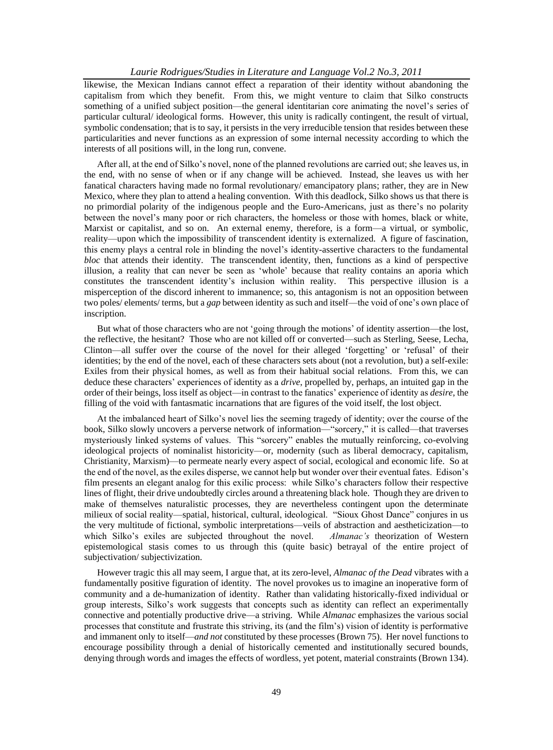#### *Laurie Rodrigues/Studies in Literature and Language Vol.2 No.3, 2011*

likewise, the Mexican Indians cannot effect a reparation of their identity without abandoning the capitalism from which they benefit. From this, we might venture to claim that Silko constructs something of a unified subject position—the general identitarian core animating the novel"s series of particular cultural/ ideological forms. However, this unity is radically contingent, the result of virtual, symbolic condensation; that is to say, it persists in the very irreducible tension that resides between these particularities and never functions as an expression of some internal necessity according to which the interests of all positions will, in the long run, convene.

After all, at the end of Silko"s novel, none of the planned revolutions are carried out; she leaves us, in the end, with no sense of when or if any change will be achieved. Instead, she leaves us with her fanatical characters having made no formal revolutionary/ emancipatory plans; rather, they are in New Mexico, where they plan to attend a healing convention. With this deadlock, Silko shows us that there is no primordial polarity of the indigenous people and the Euro-Americans, just as there"s no polarity between the novel's many poor or rich characters, the homeless or those with homes, black or white, Marxist or capitalist, and so on. An external enemy, therefore, is a form—a virtual, or symbolic, reality—upon which the impossibility of transcendent identity is externalized. A figure of fascination, this enemy plays a central role in blinding the novel"s identity-assertive characters to the fundamental *bloc* that attends their identity. The transcendent identity, then, functions as a kind of perspective illusion, a reality that can never be seen as "whole" because that reality contains an aporia which constitutes the transcendent identity"s inclusion within reality. This perspective illusion is a misperception of the discord inherent to immanence; so, this antagonism is not an opposition between two poles/ elements/ terms, but a *gap* between identity as such and itself—the void of one"s own place of inscription.

But what of those characters who are not "going through the motions" of identity assertion—the lost, the reflective, the hesitant? Those who are not killed off or converted—such as Sterling, Seese, Lecha, Clinton—all suffer over the course of the novel for their alleged "forgetting" or "refusal" of their identities; by the end of the novel, each of these characters sets about (not a revolution, but) a self-exile: Exiles from their physical homes, as well as from their habitual social relations. From this, we can deduce these characters" experiences of identity as a *drive*, propelled by, perhaps, an intuited gap in the order of their beings, loss itself as object—in contrast to the fanatics" experience of identity as *desire*, the filling of the void with fantasmatic incarnations that are figures of the void itself, the lost object.

At the imbalanced heart of Silko"s novel lies the seeming tragedy of identity; over the course of the book, Silko slowly uncovers a perverse network of information—"sorcery," it is called—that traverses mysteriously linked systems of values. This "sorcery" enables the mutually reinforcing, co-evolving ideological projects of nominalist historicity—or, modernity (such as liberal democracy, capitalism, Christianity, Marxism)—to permeate nearly every aspect of social, ecological and economic life. So at the end of the novel, as the exiles disperse, we cannot help but wonder over their eventual fates. Edison"s film presents an elegant analog for this exilic process: while Silko"s characters follow their respective lines of flight, their drive undoubtedly circles around a threatening black hole. Though they are driven to make of themselves naturalistic processes, they are nevertheless contingent upon the determinate milieux of social reality—spatial, historical, cultural, ideological. "Sioux Ghost Dance" conjures in us the very multitude of fictional, symbolic interpretations—veils of abstraction and aestheticization—to which Silko"s exiles are subjected throughout the novel. *Almanac's* theorization of Western epistemological stasis comes to us through this (quite basic) betrayal of the entire project of subjectivation/ subjectivization.

However tragic this all may seem, I argue that, at its zero-level, *Almanac of the Dead* vibrates with a fundamentally positive figuration of identity. The novel provokes us to imagine an inoperative form of community and a de-humanization of identity. Rather than validating historically-fixed individual or group interests, Silko"s work suggests that concepts such as identity can reflect an experimentally connective and potentially productive drive—a striving. While *Almanac* emphasizes the various social processes that constitute and frustrate this striving, its (and the film"s) vision of identity is performative and immanent only to itself—*and not* constituted by these processes (Brown 75). Her novel functions to encourage possibility through a denial of historically cemented and institutionally secured bounds, denying through words and images the effects of wordless, yet potent, material constraints (Brown 134).